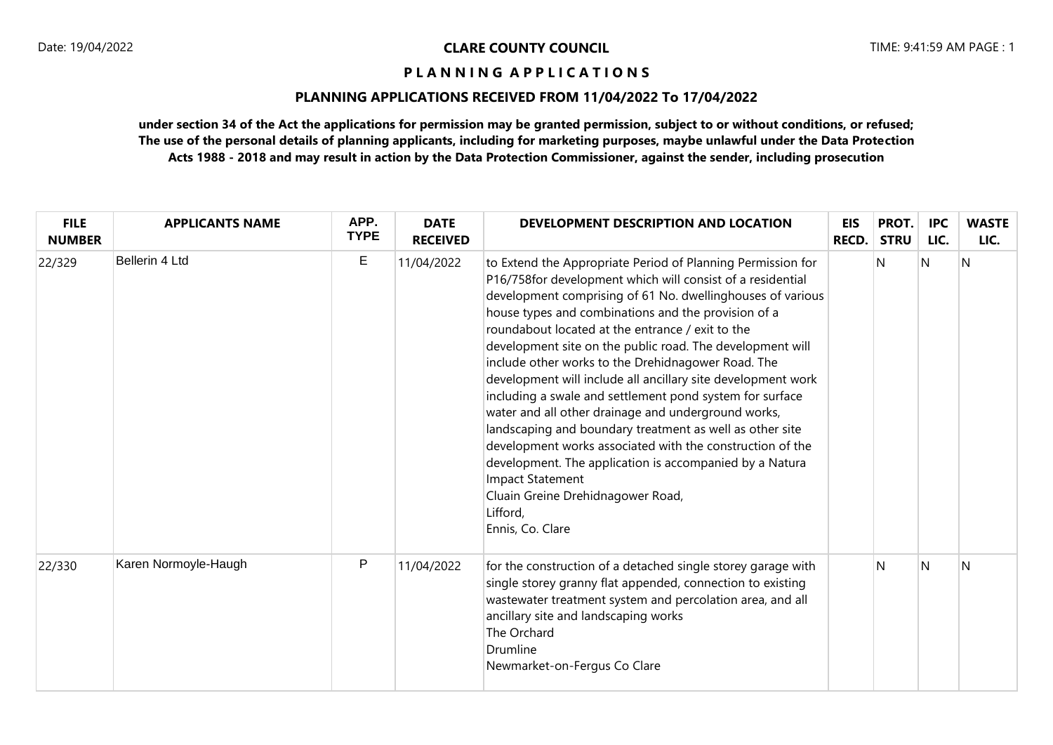### **PLANNING APPLICATIONS RECEIVED FROM 11/04/2022 To 17/04/2022**

| <b>FILE</b><br><b>NUMBER</b> | <b>APPLICANTS NAME</b> | APP.<br><b>TYPE</b> | <b>DATE</b><br><b>RECEIVED</b> | DEVELOPMENT DESCRIPTION AND LOCATION                                                                                                                                                                                                                                                                                                                                                                                                                                                                                                                                                                                                                                                                                                                                                                                                                                                         | EIS<br>RECD. | PROT.<br><b>STRU</b> | <b>IPC</b><br>LIC. | <b>WASTE</b><br>LIC. |
|------------------------------|------------------------|---------------------|--------------------------------|----------------------------------------------------------------------------------------------------------------------------------------------------------------------------------------------------------------------------------------------------------------------------------------------------------------------------------------------------------------------------------------------------------------------------------------------------------------------------------------------------------------------------------------------------------------------------------------------------------------------------------------------------------------------------------------------------------------------------------------------------------------------------------------------------------------------------------------------------------------------------------------------|--------------|----------------------|--------------------|----------------------|
| 22/329                       | Bellerin 4 Ltd         | E                   | 11/04/2022                     | to Extend the Appropriate Period of Planning Permission for<br>P16/758for development which will consist of a residential<br>development comprising of 61 No. dwellinghouses of various<br>house types and combinations and the provision of a<br>roundabout located at the entrance / exit to the<br>development site on the public road. The development will<br>include other works to the Drehidnagower Road. The<br>development will include all ancillary site development work<br>including a swale and settlement pond system for surface<br>water and all other drainage and underground works,<br>landscaping and boundary treatment as well as other site<br>development works associated with the construction of the<br>development. The application is accompanied by a Natura<br><b>Impact Statement</b><br>Cluain Greine Drehidnagower Road,<br>Lifford,<br>Ennis, Co. Clare |              | N                    | N                  | IN.                  |
| 22/330                       | Karen Normoyle-Haugh   | P                   | 11/04/2022                     | for the construction of a detached single storey garage with<br>single storey granny flat appended, connection to existing<br>wastewater treatment system and percolation area, and all<br>ancillary site and landscaping works<br>The Orchard<br>Drumline<br>Newmarket-on-Fergus Co Clare                                                                                                                                                                                                                                                                                                                                                                                                                                                                                                                                                                                                   |              | N                    | N                  | N                    |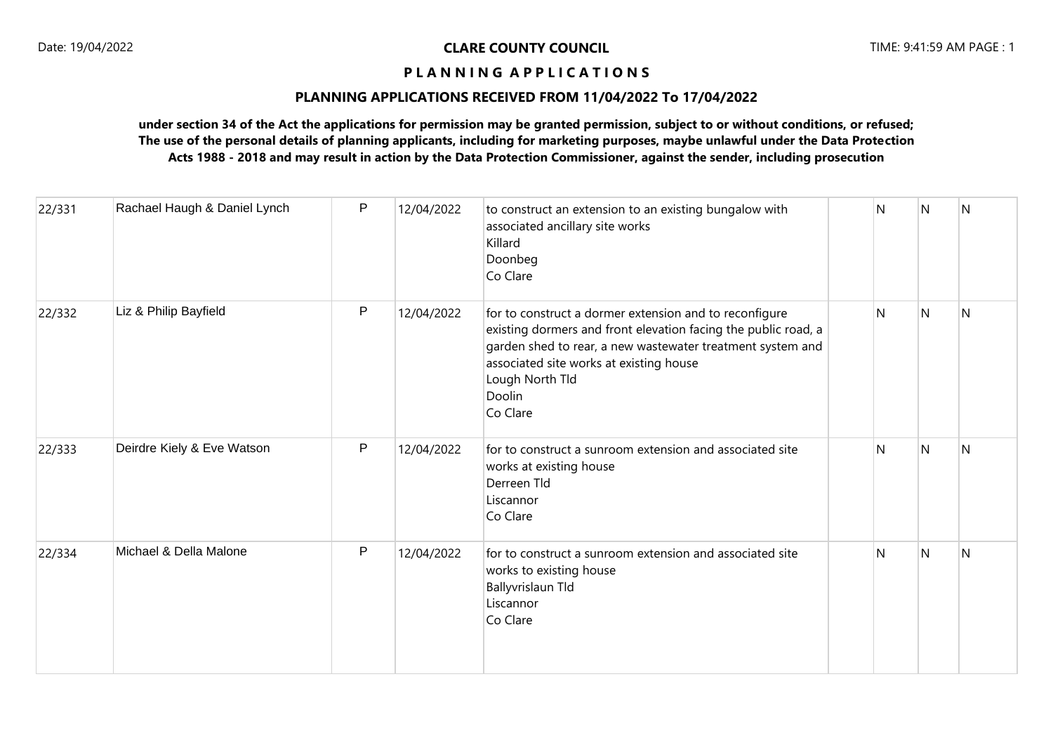### **PLANNING APPLICATIONS RECEIVED FROM 11/04/2022 To 17/04/2022**

| 22/331 | Rachael Haugh & Daniel Lynch | P | 12/04/2022 | to construct an extension to an existing bungalow with<br>associated ancillary site works<br>Killard<br>Doonbeg<br>Co Clare                                                                                                                                                | N | IN. | N              |
|--------|------------------------------|---|------------|----------------------------------------------------------------------------------------------------------------------------------------------------------------------------------------------------------------------------------------------------------------------------|---|-----|----------------|
| 22/332 | Liz & Philip Bayfield        | P | 12/04/2022 | for to construct a dormer extension and to reconfigure<br>existing dormers and front elevation facing the public road, a<br>garden shed to rear, a new wastewater treatment system and<br>associated site works at existing house<br>Lough North Tld<br>Doolin<br>Co Clare | N | N   | N              |
| 22/333 | Deirdre Kiely & Eve Watson   | P | 12/04/2022 | for to construct a sunroom extension and associated site<br>works at existing house<br>Derreen Tld<br>Liscannor<br>Co Clare                                                                                                                                                | N | N   | $\overline{N}$ |
| 22/334 | Michael & Della Malone       | P | 12/04/2022 | for to construct a sunroom extension and associated site<br>works to existing house<br><b>Ballyvrislaun Tld</b><br>Liscannor<br>Co Clare                                                                                                                                   | N | N   | N              |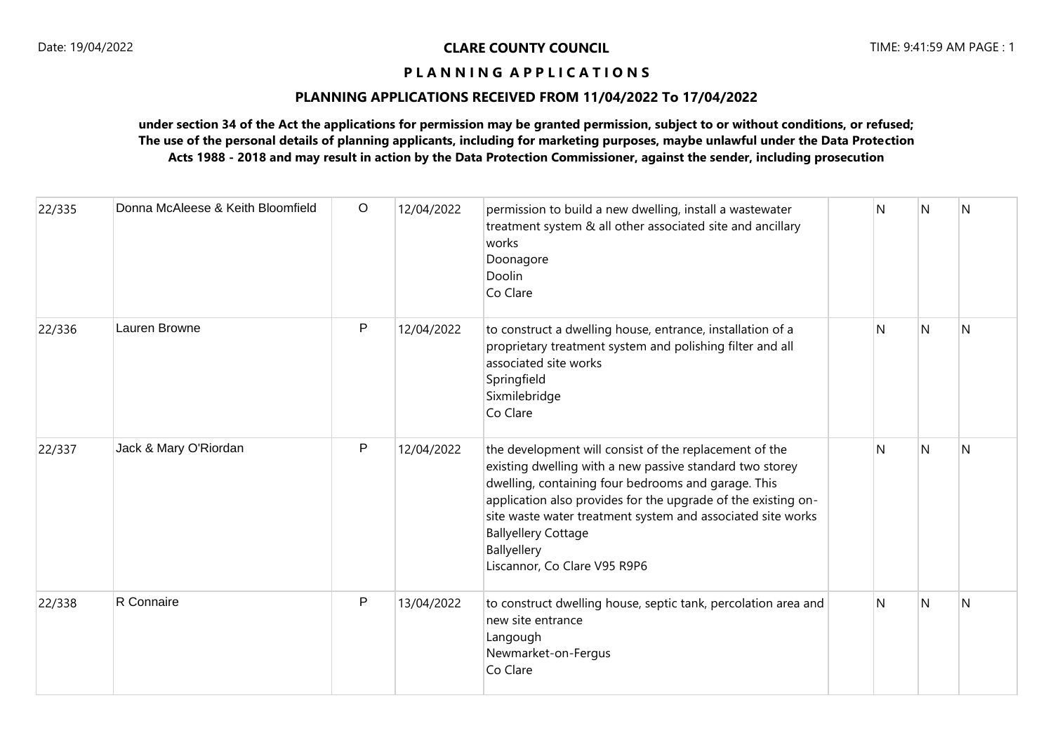### **PLANNING APPLICATIONS RECEIVED FROM 11/04/2022 To 17/04/2022**

| 22/335 | Donna McAleese & Keith Bloomfield | $\circ$      | 12/04/2022 | permission to build a new dwelling, install a wastewater<br>treatment system & all other associated site and ancillary<br>works<br>Doonagore<br>Doolin<br>Co Clare                                                                                                                                                                                                                     | N | N            | <sup>N</sup> |
|--------|-----------------------------------|--------------|------------|----------------------------------------------------------------------------------------------------------------------------------------------------------------------------------------------------------------------------------------------------------------------------------------------------------------------------------------------------------------------------------------|---|--------------|--------------|
| 22/336 | Lauren Browne                     | P            | 12/04/2022 | to construct a dwelling house, entrance, installation of a<br>proprietary treatment system and polishing filter and all<br>associated site works<br>Springfield<br>Sixmilebridge<br>Co Clare                                                                                                                                                                                           | N | <sup>N</sup> | N            |
| 22/337 | Jack & Mary O'Riordan             | $\mathsf{P}$ | 12/04/2022 | the development will consist of the replacement of the<br>existing dwelling with a new passive standard two storey<br>dwelling, containing four bedrooms and garage. This<br>application also provides for the upgrade of the existing on-<br>site waste water treatment system and associated site works<br><b>Ballyellery Cottage</b><br>Ballyellery<br>Liscannor, Co Clare V95 R9P6 | N | N            | N            |
| 22/338 | R Connaire                        | P            | 13/04/2022 | to construct dwelling house, septic tank, percolation area and<br>new site entrance<br>Langough<br>Newmarket-on-Fergus<br>Co Clare                                                                                                                                                                                                                                                     | N | N            | N            |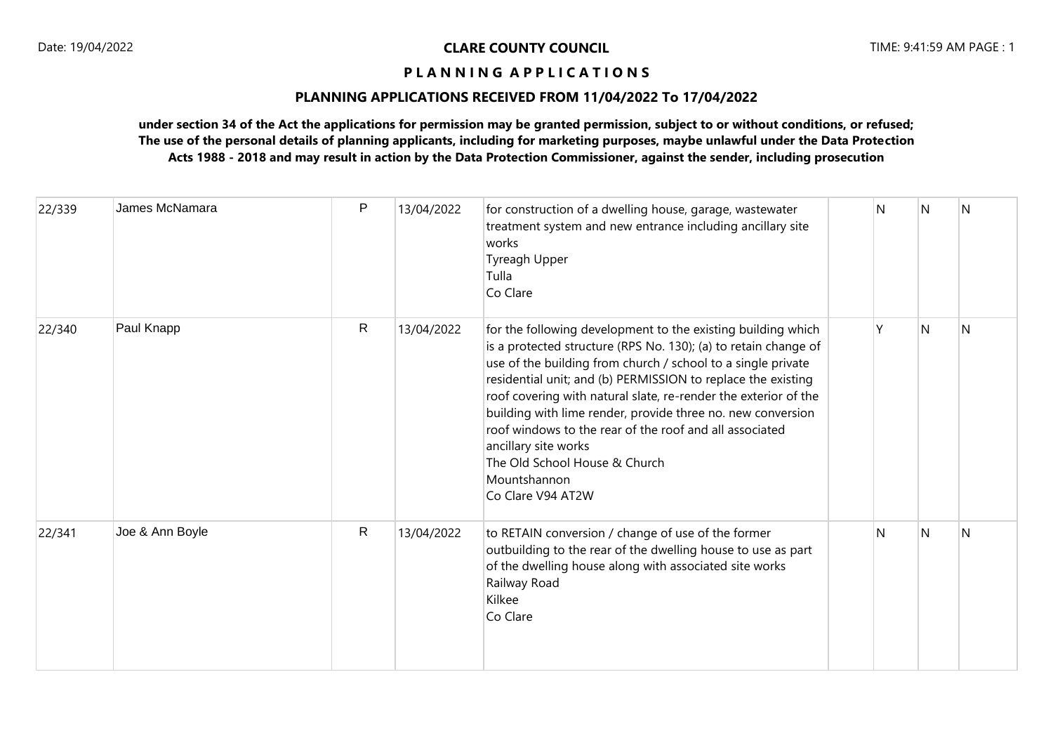### **PLANNING APPLICATIONS RECEIVED FROM 11/04/2022 To 17/04/2022**

| 22/339 | James McNamara  | P            | 13/04/2022 | for construction of a dwelling house, garage, wastewater<br>treatment system and new entrance including ancillary site<br>works<br>Tyreagh Upper<br>Tulla<br>Co Clare                                                                                                                                                                                                                                                                                                                                                                                      | N | N | N |
|--------|-----------------|--------------|------------|------------------------------------------------------------------------------------------------------------------------------------------------------------------------------------------------------------------------------------------------------------------------------------------------------------------------------------------------------------------------------------------------------------------------------------------------------------------------------------------------------------------------------------------------------------|---|---|---|
| 22/340 | Paul Knapp      | $\mathsf{R}$ | 13/04/2022 | for the following development to the existing building which<br>is a protected structure (RPS No. 130); (a) to retain change of<br>use of the building from church / school to a single private<br>residential unit; and (b) PERMISSION to replace the existing<br>roof covering with natural slate, re-render the exterior of the<br>building with lime render, provide three no. new conversion<br>roof windows to the rear of the roof and all associated<br>ancillary site works<br>The Old School House & Church<br>Mountshannon<br>Co Clare V94 AT2W | γ | N | N |
| 22/341 | Joe & Ann Boyle | $\mathsf{R}$ | 13/04/2022 | to RETAIN conversion / change of use of the former<br>outbuilding to the rear of the dwelling house to use as part<br>of the dwelling house along with associated site works<br>Railway Road<br>Kilkee<br>Co Clare                                                                                                                                                                                                                                                                                                                                         | N | N | N |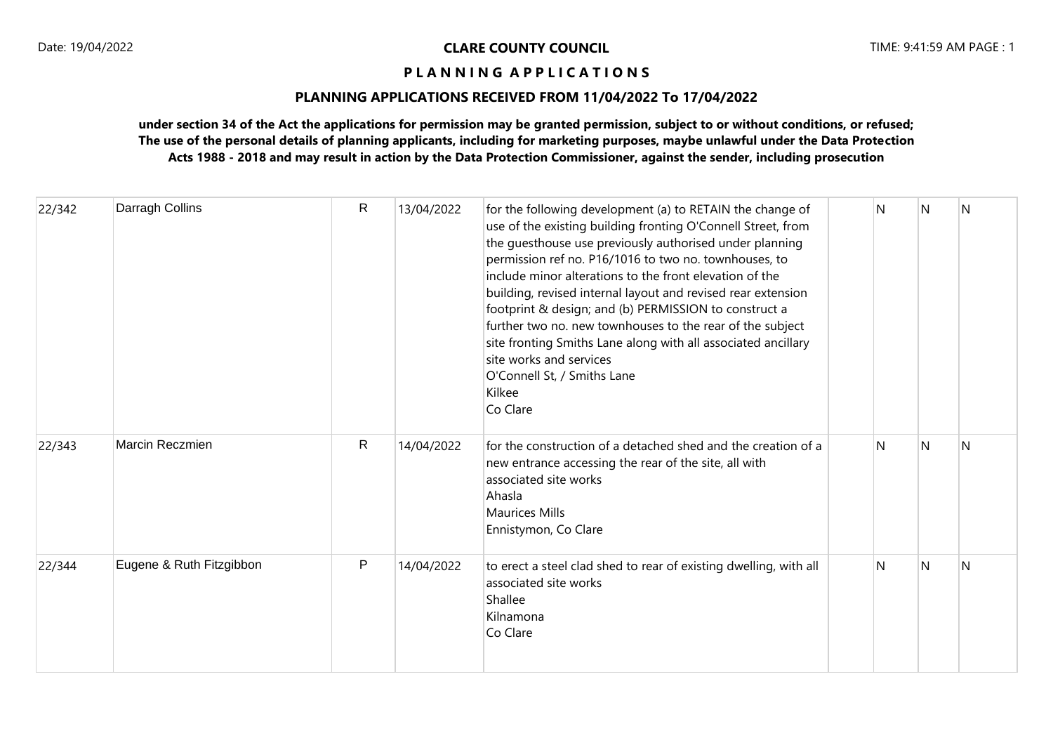### **PLANNING APPLICATIONS RECEIVED FROM 11/04/2022 To 17/04/2022**

| 22/342 | Darragh Collins          | $\mathsf{R}$ | 13/04/2022 | for the following development (a) to RETAIN the change of<br>use of the existing building fronting O'Connell Street, from<br>the guesthouse use previously authorised under planning<br>permission ref no. P16/1016 to two no. townhouses, to<br>include minor alterations to the front elevation of the<br>building, revised internal layout and revised rear extension<br>footprint & design; and (b) PERMISSION to construct a<br>further two no. new townhouses to the rear of the subject<br>site fronting Smiths Lane along with all associated ancillary<br>site works and services<br>O'Connell St, / Smiths Lane<br>Kilkee<br>Co Clare | N | N | N |
|--------|--------------------------|--------------|------------|-------------------------------------------------------------------------------------------------------------------------------------------------------------------------------------------------------------------------------------------------------------------------------------------------------------------------------------------------------------------------------------------------------------------------------------------------------------------------------------------------------------------------------------------------------------------------------------------------------------------------------------------------|---|---|---|
| 22/343 | Marcin Reczmien          | $\mathsf{R}$ | 14/04/2022 | for the construction of a detached shed and the creation of a<br>new entrance accessing the rear of the site, all with<br>associated site works<br>Ahasla<br><b>Maurices Mills</b><br>Ennistymon, Co Clare                                                                                                                                                                                                                                                                                                                                                                                                                                      | N | N | N |
| 22/344 | Eugene & Ruth Fitzgibbon | P            | 14/04/2022 | to erect a steel clad shed to rear of existing dwelling, with all<br>associated site works<br>Shallee<br>Kilnamona<br>Co Clare                                                                                                                                                                                                                                                                                                                                                                                                                                                                                                                  | N | N | N |